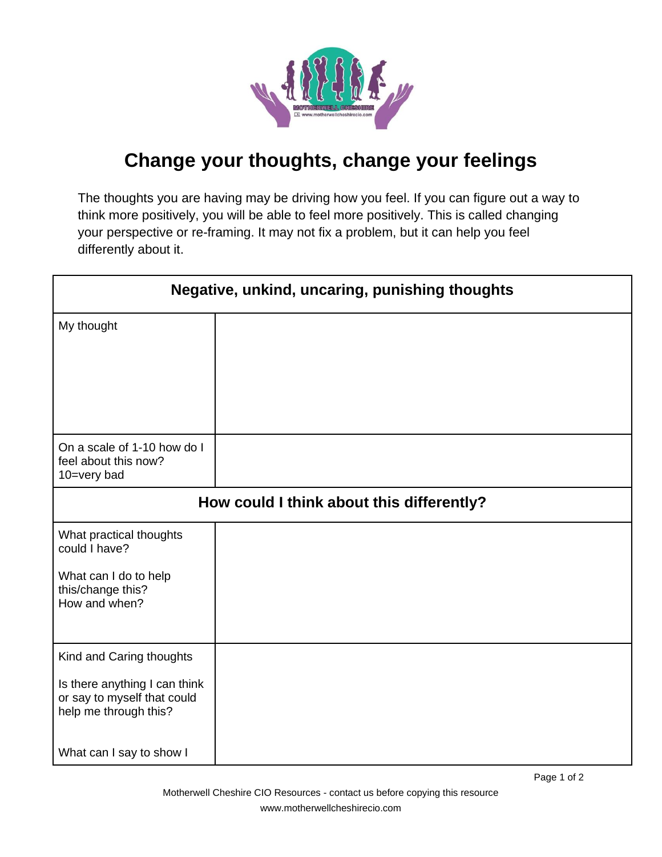

## **Change your thoughts, change your feelings**

The thoughts you are having may be driving how you feel. If you can figure out a way to think more positively, you will be able to feel more positively. This is called changing your perspective or re-framing. It may not fix a problem, but it can help you feel differently about it.

| Negative, unkind, uncaring, punishing thoughts                                        |  |
|---------------------------------------------------------------------------------------|--|
| My thought                                                                            |  |
|                                                                                       |  |
|                                                                                       |  |
| On a scale of 1-10 how do I<br>feel about this now?<br>10=very bad                    |  |
| How could I think about this differently?                                             |  |
| What practical thoughts<br>could I have?                                              |  |
| What can I do to help<br>this/change this?<br>How and when?                           |  |
| Kind and Caring thoughts                                                              |  |
| Is there anything I can think<br>or say to myself that could<br>help me through this? |  |
| What can I say to show I                                                              |  |